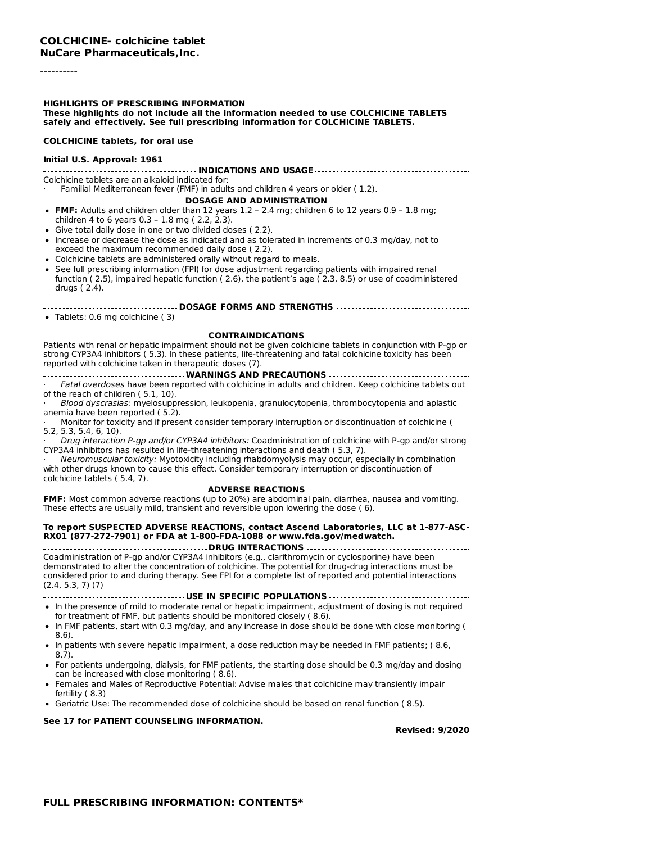#### ----------

#### **HIGHLIGHTS OF PRESCRIBING INFORMATION These highlights do not include all the information needed to use COLCHICINE TABLETS safely and effectively. See full prescribing information for COLCHICINE TABLETS.**

#### **COLCHICINE tablets, for oral use**

#### **Initial U.S. Approval: 1961 INDICATIONS AND USAGE** Colchicine tablets are an alkaloid indicated for: · Familial Mediterranean fever (FMF) in adults and children 4 years or older ( 1.2). **DOSAGE AND ADMINISTRATION FMF:** Adults and children older than 12 years 1.2 – 2.4 mg; children 6 to 12 years 0.9 – 1.8 mg; children 4 to 6 years 0.3 – 1.8 mg ( 2.2, 2.3). Give total daily dose in one or two divided doses ( 2.2). Increase or decrease the dose as indicated and as tolerated in increments of 0.3 mg/day, not to exceed the maximum recommended daily dose ( 2.2). Colchicine tablets are administered orally without regard to meals. See full prescribing information (FPI) for dose adjustment regarding patients with impaired renal function ( 2.5), impaired hepatic function ( 2.6), the patient's age ( 2.3, 8.5) or use of coadministered drugs ( 2.4). **DOSAGE FORMS AND STRENGTHS** Tablets: 0.6 mg colchicine ( 3) **CONTRAINDICATIONS**

Patients with renal or hepatic impairment should not be given colchicine tablets in conjunction with P-gp or strong CYP3A4 inhibitors ( 5.3). In these patients, life-threatening and fatal colchicine toxicity has been reported with colchicine taken in therapeutic doses (7).

**WARNINGS AND PRECAUTIONS** Fatal overdoses have been reported with colchicine in adults and children. Keep colchicine tablets out of the reach of children ( 5.1, 10).

Blood dyscrasias: myelosuppression, leukopenia, granulocytopenia, thrombocytopenia and aplastic anemia have been reported ( 5.2).

· Monitor for toxicity and if present consider temporary interruption or discontinuation of colchicine ( 5.2, 5.3, 5.4, 6, 10).

· Drug interaction P-gp and/or CYP3A4 inhibitors: Coadministration of colchicine with P-gp and/or strong CYP3A4 inhibitors has resulted in life-threatening interactions and death ( 5.3, 7).

· Neuromuscular toxicity: Myotoxicity including rhabdomyolysis may occur, especially in combination with other drugs known to cause this effect. Consider temporary interruption or discontinuation of colchicine tablets ( 5.4, 7).

**ADVERSE REACTIONS FMF:** Most common adverse reactions (up to 20%) are abdominal pain, diarrhea, nausea and vomiting. These effects are usually mild, transient and reversible upon lowering the dose ( 6).

#### **To report SUSPECTED ADVERSE REACTIONS, contact Ascend Laboratories, LLC at 1-877-ASC-RX01 (877-272-7901) or FDA at 1-800-FDA-1088 or www.fda.gov/medwatch.**

**DRUG INTERACTIONS** Coadministration of P-gp and/or CYP3A4 inhibitors (e.g., clarithromycin or cyclosporine) have been demonstrated to alter the concentration of colchicine. The potential for drug-drug interactions must be considered prior to and during therapy. See FPI for a complete list of reported and potential interactions (2.4, 5.3, 7) (7)

**USE IN SPECIFIC POPULATIONS** • In the presence of mild to moderate renal or hepatic impairment, adjustment of dosing is not required for treatment of FMF, but patients should be monitored closely ( 8.6).

- In FMF patients, start with 0.3 mg/day, and any increase in dose should be done with close monitoring ( 8.6).
- In patients with severe hepatic impairment, a dose reduction may be needed in FMF patients; ( 8.6, 8.7).
- For patients undergoing, dialysis, for FMF patients, the starting dose should be 0.3 mg/day and dosing can be increased with close monitoring ( 8.6).
- Females and Males of Reproductive Potential: Advise males that colchicine may transiently impair fertility ( 8.3)
- Geriatric Use: The recommended dose of colchicine should be based on renal function ( 8.5).

**See 17 for PATIENT COUNSELING INFORMATION.**

**Revised: 9/2020**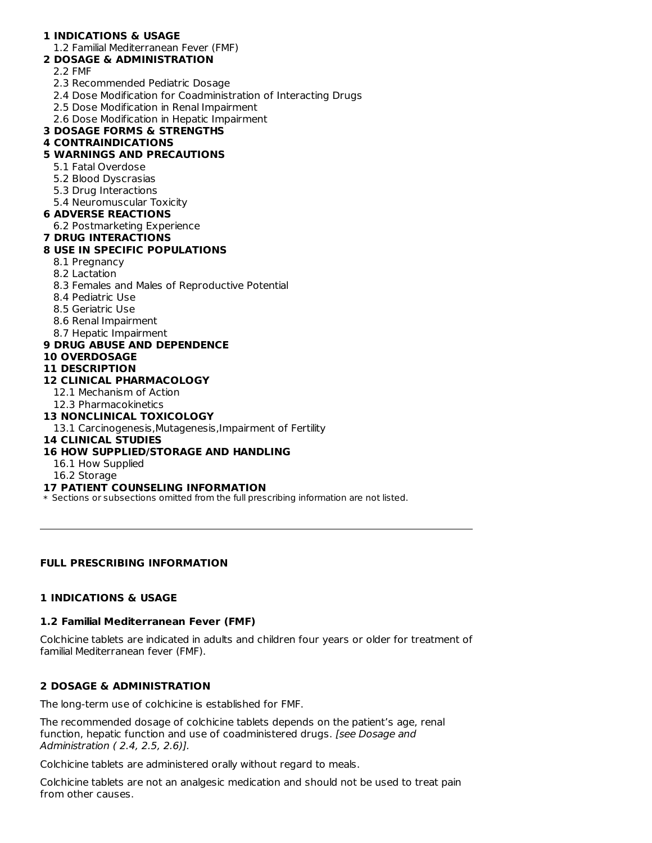## **1 INDICATIONS & USAGE**

#### 1.2 Familial Mediterranean Fever (FMF)

#### **2 DOSAGE & ADMINISTRATION**

- 2.2 FMF
- 2.3 Recommended Pediatric Dosage
- 2.4 Dose Modification for Coadministration of Interacting Drugs
- 2.5 Dose Modification in Renal Impairment
- 2.6 Dose Modification in Hepatic Impairment

### **3 DOSAGE FORMS & STRENGTHS**

### **4 CONTRAINDICATIONS**

# **5 WARNINGS AND PRECAUTIONS**

- 5.1 Fatal Overdose
- 5.2 Blood Dyscrasias
- 5.3 Drug Interactions
- 5.4 Neuromuscular Toxicity

### **6 ADVERSE REACTIONS**

- 6.2 Postmarketing Experience
- **7 DRUG INTERACTIONS**

## **8 USE IN SPECIFIC POPULATIONS**

- 8.1 Pregnancy
- 8.2 Lactation
- 8.3 Females and Males of Reproductive Potential
- 8.4 Pediatric Use
- 8.5 Geriatric Use
- 8.6 Renal Impairment
- 8.7 Hepatic Impairment

## **9 DRUG ABUSE AND DEPENDENCE**

**10 OVERDOSAGE**

# **11 DESCRIPTION**

# **12 CLINICAL PHARMACOLOGY**

- 12.1 Mechanism of Action
- 12.3 Pharmacokinetics

## **13 NONCLINICAL TOXICOLOGY**

13.1 Carcinogenesis,Mutagenesis,Impairment of Fertility

#### **14 CLINICAL STUDIES**

## **16 HOW SUPPLIED/STORAGE AND HANDLING**

- 16.1 How Supplied
- 16.2 Storage

#### **17 PATIENT COUNSELING INFORMATION**

\* Sections or subsections omitted from the full prescribing information are not listed.

## **FULL PRESCRIBING INFORMATION**

## **1 INDICATIONS & USAGE**

# **1.2 Familial Mediterranean Fever (FMF)**

Colchicine tablets are indicated in adults and children four years or older for treatment of familial Mediterranean fever (FMF).

## **2 DOSAGE & ADMINISTRATION**

The long-term use of colchicine is established for FMF.

The recommended dosage of colchicine tablets depends on the patient's age, renal function, hepatic function and use of coadministered drugs. [see Dosage and Administration ( 2.4, 2.5, 2.6)].

Colchicine tablets are administered orally without regard to meals.

Colchicine tablets are not an analgesic medication and should not be used to treat pain from other causes.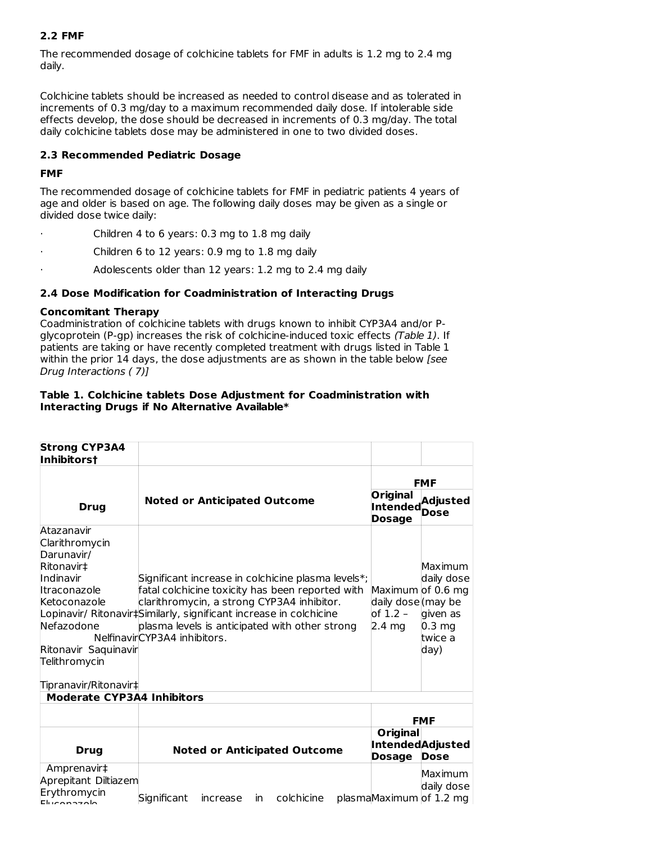## **2.2 FMF**

The recommended dosage of colchicine tablets for FMF in adults is 1.2 mg to 2.4 mg daily.

Colchicine tablets should be increased as needed to control disease and as tolerated in increments of 0.3 mg/day to a maximum recommended daily dose. If intolerable side effects develop, the dose should be decreased in increments of 0.3 mg/day. The total daily colchicine tablets dose may be administered in one to two divided doses.

### **2.3 Recommended Pediatric Dosage**

### **FMF**

The recommended dosage of colchicine tablets for FMF in pediatric patients 4 years of age and older is based on age. The following daily doses may be given as a single or divided dose twice daily:

- Children 4 to 6 years: 0.3 mg to 1.8 mg daily
- Children 6 to 12 years: 0.9 mg to 1.8 mg daily
- Adolescents older than 12 years: 1.2 mg to 2.4 mg daily

### **2.4 Dose Modification for Coadministration of Interacting Drugs**

#### **Concomitant Therapy**

Coadministration of colchicine tablets with drugs known to inhibit CYP3A4 and/or Pglycoprotein (P-gp) increases the risk of colchicine-induced toxic effects (Table 1). If patients are taking or have recently completed treatment with drugs listed in Table 1 within the prior 14 days, the dose adjustments are as shown in the table below [see Drug Interactions ( 7)]

#### **Table 1. Colchicine tablets Dose Adjustment for Coadministration with Interacting Drugs if No Alternative Available\***

| <b>Strong CYP3A4</b><br><b>Inhibitorst</b>                                                                                                                                            |                                                                                                                                                                                                                                                                                                              |                                                               |                                                                          |
|---------------------------------------------------------------------------------------------------------------------------------------------------------------------------------------|--------------------------------------------------------------------------------------------------------------------------------------------------------------------------------------------------------------------------------------------------------------------------------------------------------------|---------------------------------------------------------------|--------------------------------------------------------------------------|
|                                                                                                                                                                                       |                                                                                                                                                                                                                                                                                                              |                                                               | <b>FMF</b>                                                               |
| <b>Drug</b>                                                                                                                                                                           | <b>Noted or Anticipated Outcome</b>                                                                                                                                                                                                                                                                          | <b>Original</b><br><b>Dosage</b>                              | Original Adjusted<br>Intended Dose                                       |
| Atazanavir<br>Clarithromycin<br>Darunavir/<br>Ritonavir‡<br>Indinavir<br>Itraconazole<br>Ketoconazole<br>Nefazodone<br>Ritonavir Saquinavir<br>Telithromycin<br>Tipranavir/Ritonavir‡ | Significant increase in colchicine plasma levels*;<br>fatal colchicine toxicity has been reported with<br>clarithromycin, a strong CYP3A4 inhibitor.<br>Lopinavir/ Ritonavir#Similarly, significant increase in colchicine<br>plasma levels is anticipated with other strong<br>NelfinavirCYP3A4 inhibitors. | Maximum of 0.6 mg<br>daily dose (may be<br>of 1.2 –<br>2.4 mg | Maximum<br>daily dose<br>given as<br>$0.3 \text{ mg}$<br>twice a<br>day) |
| <b>Moderate CYP3A4 Inhibitors</b>                                                                                                                                                     |                                                                                                                                                                                                                                                                                                              |                                                               |                                                                          |
|                                                                                                                                                                                       |                                                                                                                                                                                                                                                                                                              |                                                               | <b>FMF</b>                                                               |
| <b>Drug</b>                                                                                                                                                                           | <b>Noted or Anticipated Outcome</b>                                                                                                                                                                                                                                                                          | Original<br><b>Dosage</b>                                     | <b>IntendedAdjusted</b><br><b>Dose</b>                                   |
| Amprenavir‡<br>Aprepitant Diltiazem<br>Erythromycin<br><b>Eluconozolo</b>                                                                                                             | colchicine<br>Significant<br>increase<br>in.                                                                                                                                                                                                                                                                 |                                                               | Maximum<br>daily dose<br>plasmaMaximum of 1.2 mg                         |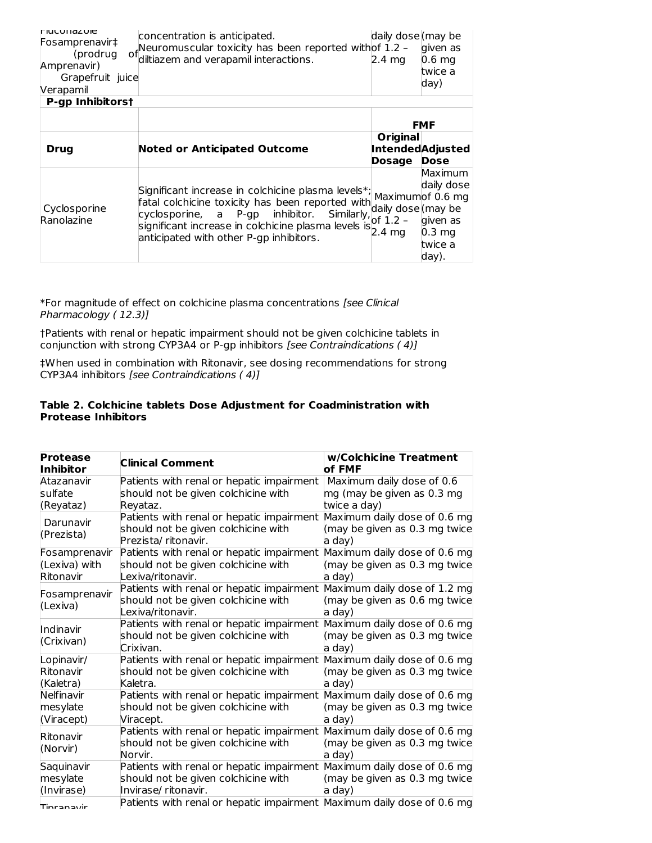| <b>IFIUCUH dZUIE</b><br>Fosamprenavir‡<br>(prodrug)<br>Amprenavir)<br>Grapefruit juice<br>Verapamil | concentration is anticipated.<br>of Neuromuscular toxicity has been reported withof 1.2 -<br>diltiazem and verapamil interactions.                                                                                                          | daily dose (may be<br>$2.4 \text{ mg}$               | given as<br>0.6 <sub>mg</sub><br>twice a<br>day)                                    |
|-----------------------------------------------------------------------------------------------------|---------------------------------------------------------------------------------------------------------------------------------------------------------------------------------------------------------------------------------------------|------------------------------------------------------|-------------------------------------------------------------------------------------|
| <b>P-gp Inhibitorst</b>                                                                             |                                                                                                                                                                                                                                             |                                                      |                                                                                     |
|                                                                                                     |                                                                                                                                                                                                                                             |                                                      | <b>FMF</b>                                                                          |
| Drug                                                                                                | <b>Noted or Anticipated Outcome</b>                                                                                                                                                                                                         | <b>Original</b><br>Dosage                            | <b>IntendedAdjusted</b><br><b>Dose</b>                                              |
| Cyclosporine<br>Ranolazine                                                                          | Significant increase in colchicine plasma levels*;<br>fatal colchicine toxicity has been reported with<br>cyclosporine, a P-gp inhibitor.<br>significant increase in colchicine plasma levels is<br>anticipated with other P-qp inhibitors. | Similarly, daily dose (may be<br>lof 1.2 –<br>2.4 mg | Maximum<br>daily dose<br>Maximumof 0.6 mg<br>given as<br>0.3 mg<br>twice a<br>day). |

\*For magnitude of effect on colchicine plasma concentrations [see Clinical Pharmacology ( 12.3)]

†Patients with renal or hepatic impairment should not be given colchicine tablets in conjunction with strong CYP3A4 or P-gp inhibitors [see Contraindications ( 4)]

‡When used in combination with Ritonavir, see dosing recommendations for strong CYP3A4 inhibitors [see Contraindications ( 4)]

#### **Table 2. Colchicine tablets Dose Adjustment for Coadministration with Protease Inhibitors**

| <b>Protease</b><br>Inhibitor | <b>Clinical Comment</b>                                                | w/Colchicine Treatment<br>of FMF |
|------------------------------|------------------------------------------------------------------------|----------------------------------|
| Atazanavir                   | Patients with renal or hepatic impairment                              | Maximum daily dose of 0.6        |
| sulfate                      | should not be given colchicine with                                    | mg (may be given as 0.3 mg       |
| (Reyataz)                    | Reyataz.                                                               | twice a day)                     |
| Darunavir                    | Patients with renal or hepatic impairment                              | Maximum daily dose of 0.6 mg     |
| (Prezista)                   | should not be given colchicine with                                    | (may be given as 0.3 mg twice    |
|                              | Prezista/ritonavir.                                                    | a day)                           |
| Fosamprenavir                | Patients with renal or hepatic impairment                              | Maximum daily dose of 0.6 mg     |
| (Lexiva) with                | should not be given colchicine with                                    | (may be given as 0.3 mg twice    |
| Ritonavir                    | Lexiva/ritonavir.                                                      | a day)                           |
| Fosamprenavir                | Patients with renal or hepatic impairment                              | Maximum daily dose of 1.2 mg     |
| (Lexiva)                     | should not be given colchicine with                                    | (may be given as 0.6 mg twice    |
|                              | Lexiva/ritonavir.                                                      | a day)                           |
| Indinavir                    | Patients with renal or hepatic impairment                              | Maximum daily dose of 0.6 mg     |
| (Crixivan)                   | should not be given colchicine with                                    | (may be given as 0.3 mg twice    |
|                              | Crixivan.                                                              | a day)                           |
| Lopinavir/                   | Patients with renal or hepatic impairment                              | Maximum daily dose of 0.6 mg     |
| Ritonavir                    | should not be given colchicine with                                    | (may be given as 0.3 mg twice    |
| (Kaletra)                    | Kaletra.                                                               | a day)                           |
| Nelfinavir                   | Patients with renal or hepatic impairment                              | Maximum daily dose of 0.6 mg     |
| mesylate                     | should not be given colchicine with                                    | (may be given as 0.3 mg twice    |
| (Viracept)                   | Viracept.                                                              | a day)                           |
| Ritonavir                    | Patients with renal or hepatic impairment                              | Maximum daily dose of 0.6 mg     |
| (Norvir)                     | should not be given colchicine with                                    | (may be given as 0.3 mg twice    |
|                              | Norvir.                                                                | a day)                           |
| Saquinavir                   | Patients with renal or hepatic impairment                              | Maximum daily dose of 0.6 mg     |
| mesylate                     | should not be given colchicine with                                    | (may be given as 0.3 mg twice    |
| (Invirase)                   | Invirase/ ritonavir.                                                   | a day)                           |
| Tinranavir                   | Patients with renal or hepatic impairment Maximum daily dose of 0.6 mg |                                  |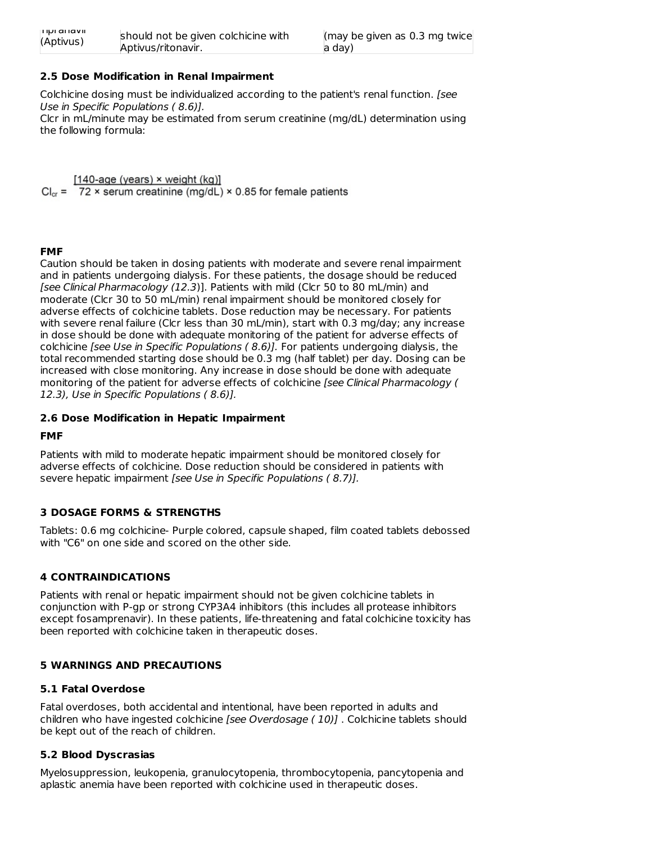| <b>THULAHA</b> | should not be given colchicine with |
|----------------|-------------------------------------|
| (Aptivus)      | Aptivus/ritonavir.                  |

### **2.5 Dose Modification in Renal Impairment**

Colchicine dosing must be individualized according to the patient's renal function. [see Use in Specific Populations ( 8.6)]. Clcr in mL/minute may be estimated from serum creatinine (mg/dL) determination using the following formula:

 $[140$ -age (years)  $\times$  weight (kg)]

 $Cl_{cr}$  = 72 x serum creatinine (mg/dL) x 0.85 for female patients

### **FMF**

Caution should be taken in dosing patients with moderate and severe renal impairment and in patients undergoing dialysis. For these patients, the dosage should be reduced [see Clinical Pharmacology (12.3)]. Patients with mild (Clcr 50 to 80 mL/min) and moderate (Clcr 30 to 50 mL/min) renal impairment should be monitored closely for adverse effects of colchicine tablets. Dose reduction may be necessary. For patients with severe renal failure (Clcr less than 30 mL/min), start with 0.3 mg/day; any increase in dose should be done with adequate monitoring of the patient for adverse effects of colchicine [see Use in Specific Populations ( 8.6)]. For patients undergoing dialysis, the total recommended starting dose should be 0.3 mg (half tablet) per day. Dosing can be increased with close monitoring. Any increase in dose should be done with adequate monitoring of the patient for adverse effects of colchicine [see Clinical Pharmacology ( 12.3), Use in Specific Populations ( 8.6)].

#### **2.6 Dose Modification in Hepatic Impairment**

#### **FMF**

Patients with mild to moderate hepatic impairment should be monitored closely for adverse effects of colchicine. Dose reduction should be considered in patients with severe hepatic impairment [see Use in Specific Populations ( 8.7)].

## **3 DOSAGE FORMS & STRENGTHS**

Tablets: 0.6 mg colchicine- Purple colored, capsule shaped, film coated tablets debossed with "C6" on one side and scored on the other side.

## **4 CONTRAINDICATIONS**

Patients with renal or hepatic impairment should not be given colchicine tablets in conjunction with P-gp or strong CYP3A4 inhibitors (this includes all protease inhibitors except fosamprenavir). In these patients, life-threatening and fatal colchicine toxicity has been reported with colchicine taken in therapeutic doses.

## **5 WARNINGS AND PRECAUTIONS**

#### **5.1 Fatal Overdose**

Fatal overdoses, both accidental and intentional, have been reported in adults and children who have ingested colchicine [see Overdosage ( 10)] . Colchicine tablets should be kept out of the reach of children.

## **5.2 Blood Dyscrasias**

Myelosuppression, leukopenia, granulocytopenia, thrombocytopenia, pancytopenia and aplastic anemia have been reported with colchicine used in therapeutic doses.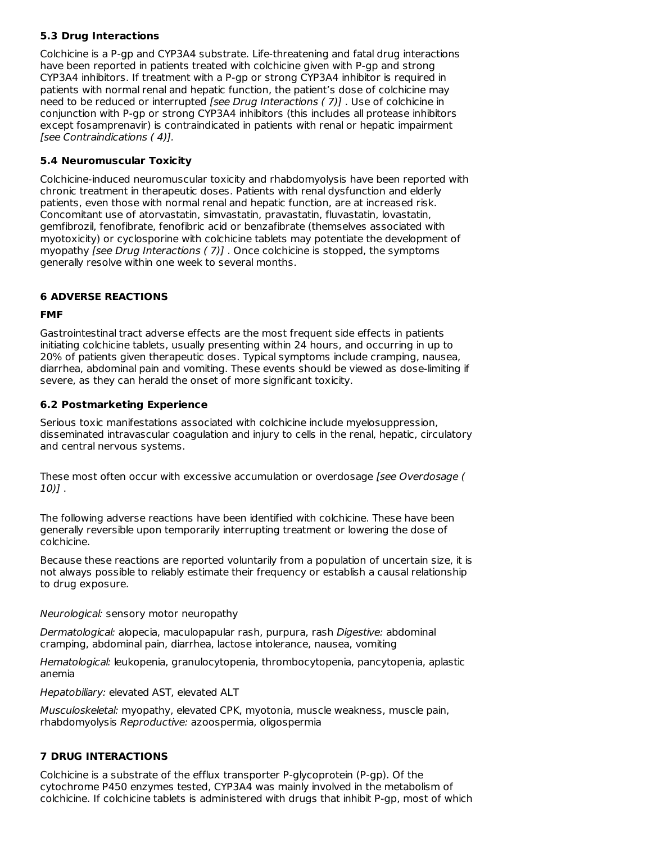## **5.3 Drug Interactions**

Colchicine is a P-gp and CYP3A4 substrate. Life-threatening and fatal drug interactions have been reported in patients treated with colchicine given with P-gp and strong CYP3A4 inhibitors. If treatment with a P-gp or strong CYP3A4 inhibitor is required in patients with normal renal and hepatic function, the patient's dose of colchicine may need to be reduced or interrupted [see Drug Interactions ( 7)] . Use of colchicine in conjunction with P-gp or strong CYP3A4 inhibitors (this includes all protease inhibitors except fosamprenavir) is contraindicated in patients with renal or hepatic impairment [see Contraindications ( 4)].

# **5.4 Neuromuscular Toxicity**

Colchicine-induced neuromuscular toxicity and rhabdomyolysis have been reported with chronic treatment in therapeutic doses. Patients with renal dysfunction and elderly patients, even those with normal renal and hepatic function, are at increased risk. Concomitant use of atorvastatin, simvastatin, pravastatin, fluvastatin, lovastatin, gemfibrozil, fenofibrate, fenofibric acid or benzafibrate (themselves associated with myotoxicity) or cyclosporine with colchicine tablets may potentiate the development of myopathy [see Drug Interactions ( 7)] . Once colchicine is stopped, the symptoms generally resolve within one week to several months.

# **6 ADVERSE REACTIONS**

# **FMF**

Gastrointestinal tract adverse effects are the most frequent side effects in patients initiating colchicine tablets, usually presenting within 24 hours, and occurring in up to 20% of patients given therapeutic doses. Typical symptoms include cramping, nausea, diarrhea, abdominal pain and vomiting. These events should be viewed as dose-limiting if severe, as they can herald the onset of more significant toxicity.

# **6.2 Postmarketing Experience**

Serious toxic manifestations associated with colchicine include myelosuppression, disseminated intravascular coagulation and injury to cells in the renal, hepatic, circulatory and central nervous systems.

These most often occur with excessive accumulation or overdosage [see Overdosage ( 10)] .

The following adverse reactions have been identified with colchicine. These have been generally reversible upon temporarily interrupting treatment or lowering the dose of colchicine.

Because these reactions are reported voluntarily from a population of uncertain size, it is not always possible to reliably estimate their frequency or establish a causal relationship to drug exposure.

Neurological: sensory motor neuropathy

Dermatological: alopecia, maculopapular rash, purpura, rash Digestive: abdominal cramping, abdominal pain, diarrhea, lactose intolerance, nausea, vomiting

Hematological: leukopenia, granulocytopenia, thrombocytopenia, pancytopenia, aplastic anemia

Hepatobiliary: elevated AST, elevated ALT

Musculoskeletal: myopathy, elevated CPK, myotonia, muscle weakness, muscle pain, rhabdomyolysis Reproductive: azoospermia, oligospermia

# **7 DRUG INTERACTIONS**

Colchicine is a substrate of the efflux transporter P-glycoprotein (P-gp). Of the cytochrome P450 enzymes tested, CYP3A4 was mainly involved in the metabolism of colchicine. If colchicine tablets is administered with drugs that inhibit P-gp, most of which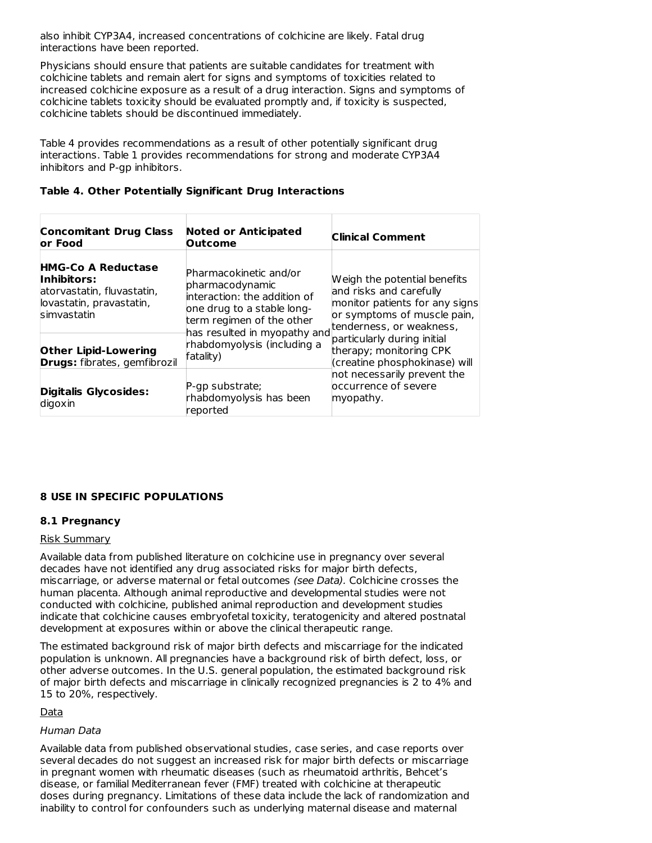also inhibit CYP3A4, increased concentrations of colchicine are likely. Fatal drug interactions have been reported.

Physicians should ensure that patients are suitable candidates for treatment with colchicine tablets and remain alert for signs and symptoms of toxicities related to increased colchicine exposure as a result of a drug interaction. Signs and symptoms of colchicine tablets toxicity should be evaluated promptly and, if toxicity is suspected, colchicine tablets should be discontinued immediately.

Table 4 provides recommendations as a result of other potentially significant drug interactions. Table 1 provides recommendations for strong and moderate CYP3A4 inhibitors and P-gp inhibitors.

| <b>Concomitant Drug Class</b><br>or Food                                                                          | <b>Noted or Anticipated</b><br><b>Outcome</b>                                                                                        | <b>Clinical Comment</b>                                                                                                                              |
|-------------------------------------------------------------------------------------------------------------------|--------------------------------------------------------------------------------------------------------------------------------------|------------------------------------------------------------------------------------------------------------------------------------------------------|
| <b>HMG-Co A Reductase</b><br>Inhibitors:<br>atorvastatin, fluvastatin,<br>lovastatin, pravastatin,<br>simvastatin | Pharmacokinetic and/or<br>pharmacodynamic<br>interaction: the addition of<br>one drug to a stable long-<br>term regimen of the other | Weigh the potential benefits<br>and risks and carefully<br>monitor patients for any signs<br>or symptoms of muscle pain,<br>tenderness, or weakness, |
| <b>Other Lipid-Lowering</b><br><b>Drugs:</b> fibrates, gemfibrozil                                                | has resulted in myopathy and<br>rhabdomyolysis (including a<br>fatality)                                                             | particularly during initial<br>therapy; monitoring CPK<br>(creatine phosphokinase) will<br>not necessarily prevent the                               |
| Digitalis Glycosides:<br>digoxin                                                                                  | P-gp substrate;<br>rhabdomyolysis has been<br>reported                                                                               | occurrence of severe<br>myopathy.                                                                                                                    |

### **Table 4. Other Potentially Significant Drug Interactions**

# **8 USE IN SPECIFIC POPULATIONS**

#### **8.1 Pregnancy**

#### Risk Summary

Available data from published literature on colchicine use in pregnancy over several decades have not identified any drug associated risks for major birth defects, miscarriage, or adverse maternal or fetal outcomes (see Data). Colchicine crosses the human placenta. Although animal reproductive and developmental studies were not conducted with colchicine, published animal reproduction and development studies indicate that colchicine causes embryofetal toxicity, teratogenicity and altered postnatal development at exposures within or above the clinical therapeutic range.

The estimated background risk of major birth defects and miscarriage for the indicated population is unknown. All pregnancies have a background risk of birth defect, loss, or other adverse outcomes. In the U.S. general population, the estimated background risk of major birth defects and miscarriage in clinically recognized pregnancies is 2 to 4% and 15 to 20%, respectively.

**Data** 

#### Human Data

Available data from published observational studies, case series, and case reports over several decades do not suggest an increased risk for major birth defects or miscarriage in pregnant women with rheumatic diseases (such as rheumatoid arthritis, Behcet's disease, or familial Mediterranean fever (FMF) treated with colchicine at therapeutic doses during pregnancy. Limitations of these data include the lack of randomization and inability to control for confounders such as underlying maternal disease and maternal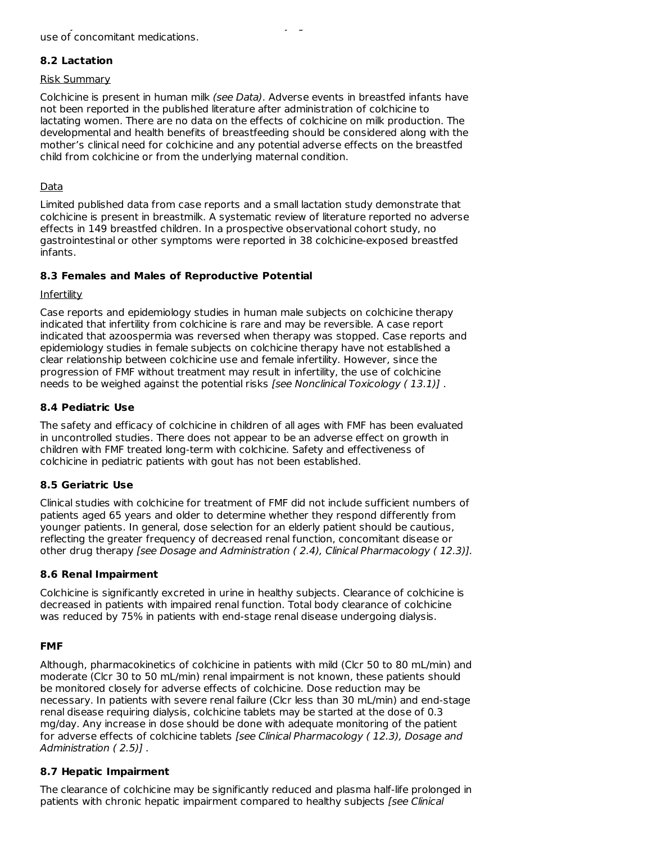# **8.2 Lactation**

### Risk Summary

Colchicine is present in human milk (see Data). Adverse events in breastfed infants have not been reported in the published literature after administration of colchicine to lactating women. There are no data on the effects of colchicine on milk production. The developmental and health benefits of breastfeeding should be considered along with the mother's clinical need for colchicine and any potential adverse effects on the breastfed child from colchicine or from the underlying maternal condition.

# Data

Limited published data from case reports and a small lactation study demonstrate that colchicine is present in breastmilk. A systematic review of literature reported no adverse effects in 149 breastfed children. In a prospective observational cohort study, no gastrointestinal or other symptoms were reported in 38 colchicine-exposed breastfed infants.

## **8.3 Females and Males of Reproductive Potential**

## Infertility

Case reports and epidemiology studies in human male subjects on colchicine therapy indicated that infertility from colchicine is rare and may be reversible. A case report indicated that azoospermia was reversed when therapy was stopped. Case reports and epidemiology studies in female subjects on colchicine therapy have not established a clear relationship between colchicine use and female infertility. However, since the progression of FMF without treatment may result in infertility, the use of colchicine needs to be weighed against the potential risks [see Nonclinical Toxicology (13.1)].

# **8.4 Pediatric Use**

The safety and efficacy of colchicine in children of all ages with FMF has been evaluated in uncontrolled studies. There does not appear to be an adverse effect on growth in children with FMF treated long-term with colchicine. Safety and effectiveness of colchicine in pediatric patients with gout has not been established.

## **8.5 Geriatric Use**

Clinical studies with colchicine for treatment of FMF did not include sufficient numbers of patients aged 65 years and older to determine whether they respond differently from younger patients. In general, dose selection for an elderly patient should be cautious, reflecting the greater frequency of decreased renal function, concomitant disease or other drug therapy [see Dosage and Administration ( 2.4), Clinical Pharmacology ( 12.3)].

## **8.6 Renal Impairment**

Colchicine is significantly excreted in urine in healthy subjects. Clearance of colchicine is decreased in patients with impaired renal function. Total body clearance of colchicine was reduced by 75% in patients with end-stage renal disease undergoing dialysis.

## **FMF**

Although, pharmacokinetics of colchicine in patients with mild (Clcr 50 to 80 mL/min) and moderate (Clcr 30 to 50 mL/min) renal impairment is not known, these patients should be monitored closely for adverse effects of colchicine. Dose reduction may be necessary. In patients with severe renal failure (Clcr less than 30 mL/min) and end-stage renal disease requiring dialysis, colchicine tablets may be started at the dose of 0.3 mg/day. Any increase in dose should be done with adequate monitoring of the patient for adverse effects of colchicine tablets [see Clinical Pharmacology (12.3), Dosage and Administration (2.5)].

## **8.7 Hepatic Impairment**

The clearance of colchicine may be significantly reduced and plasma half-life prolonged in patients with chronic hepatic impairment compared to healthy subjects [see Clinical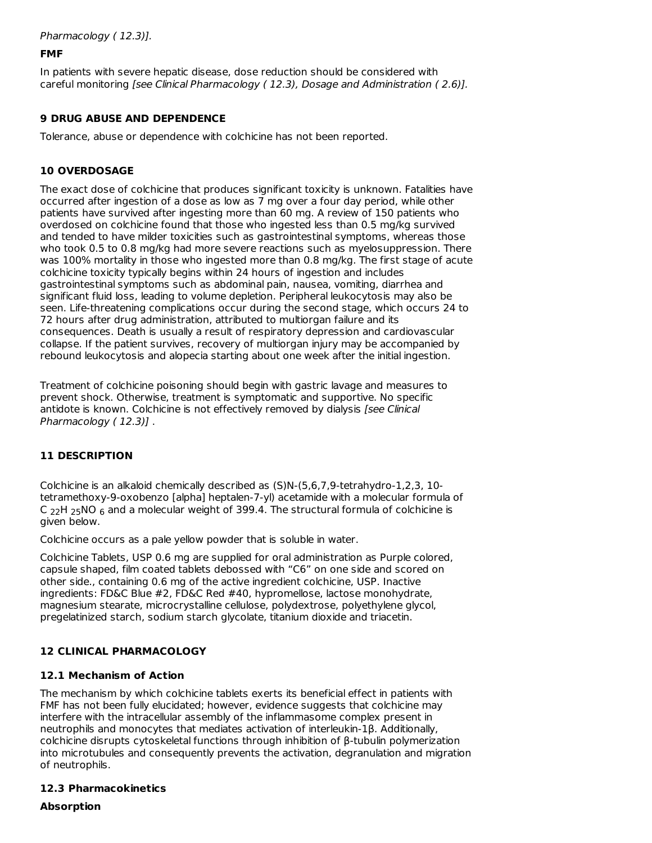Pharmacology ( 12.3)].

### **FMF**

In patients with severe hepatic disease, dose reduction should be considered with careful monitoring [see Clinical Pharmacology ( 12.3), Dosage and Administration ( 2.6)].

## **9 DRUG ABUSE AND DEPENDENCE**

Tolerance, abuse or dependence with colchicine has not been reported.

### **10 OVERDOSAGE**

The exact dose of colchicine that produces significant toxicity is unknown. Fatalities have occurred after ingestion of a dose as low as 7 mg over a four day period, while other patients have survived after ingesting more than 60 mg. A review of 150 patients who overdosed on colchicine found that those who ingested less than 0.5 mg/kg survived and tended to have milder toxicities such as gastrointestinal symptoms, whereas those who took 0.5 to 0.8 mg/kg had more severe reactions such as myelosuppression. There was 100% mortality in those who ingested more than 0.8 mg/kg. The first stage of acute colchicine toxicity typically begins within 24 hours of ingestion and includes gastrointestinal symptoms such as abdominal pain, nausea, vomiting, diarrhea and significant fluid loss, leading to volume depletion. Peripheral leukocytosis may also be seen. Life-threatening complications occur during the second stage, which occurs 24 to 72 hours after drug administration, attributed to multiorgan failure and its consequences. Death is usually a result of respiratory depression and cardiovascular collapse. If the patient survives, recovery of multiorgan injury may be accompanied by rebound leukocytosis and alopecia starting about one week after the initial ingestion.

Treatment of colchicine poisoning should begin with gastric lavage and measures to prevent shock. Otherwise, treatment is symptomatic and supportive. No specific antidote is known. Colchicine is not effectively removed by dialysis [see Clinical Pharmacology (12.3)].

## **11 DESCRIPTION**

Colchicine is an alkaloid chemically described as (S)N-(5,6,7,9-tetrahydro-1,2,3, 10 tetramethoxy-9-oxobenzo [alpha] heptalen-7-yl) acetamide with a molecular formula of C  $_{22}$ H  $_{25}$ NO  $_{6}$  and a molecular weight of 399.4. The structural formula of colchicine is given below.

Colchicine occurs as a pale yellow powder that is soluble in water.

Colchicine Tablets, USP 0.6 mg are supplied for oral administration as Purple colored, capsule shaped, film coated tablets debossed with "C6" on one side and scored on other side., containing 0.6 mg of the active ingredient colchicine, USP. Inactive ingredients: FD&C Blue #2, FD&C Red #40, hypromellose, lactose monohydrate, magnesium stearate, microcrystalline cellulose, polydextrose, polyethylene glycol, pregelatinized starch, sodium starch glycolate, titanium dioxide and triacetin.

## **12 CLINICAL PHARMACOLOGY**

#### **12.1 Mechanism of Action**

The mechanism by which colchicine tablets exerts its beneficial effect in patients with FMF has not been fully elucidated; however, evidence suggests that colchicine may interfere with the intracellular assembly of the inflammasome complex present in neutrophils and monocytes that mediates activation of interleukin-1β. Additionally, colchicine disrupts cytoskeletal functions through inhibition of β-tubulin polymerization into microtubules and consequently prevents the activation, degranulation and migration of neutrophils.

# **12.3 Pharmacokinetics**

**Absorption**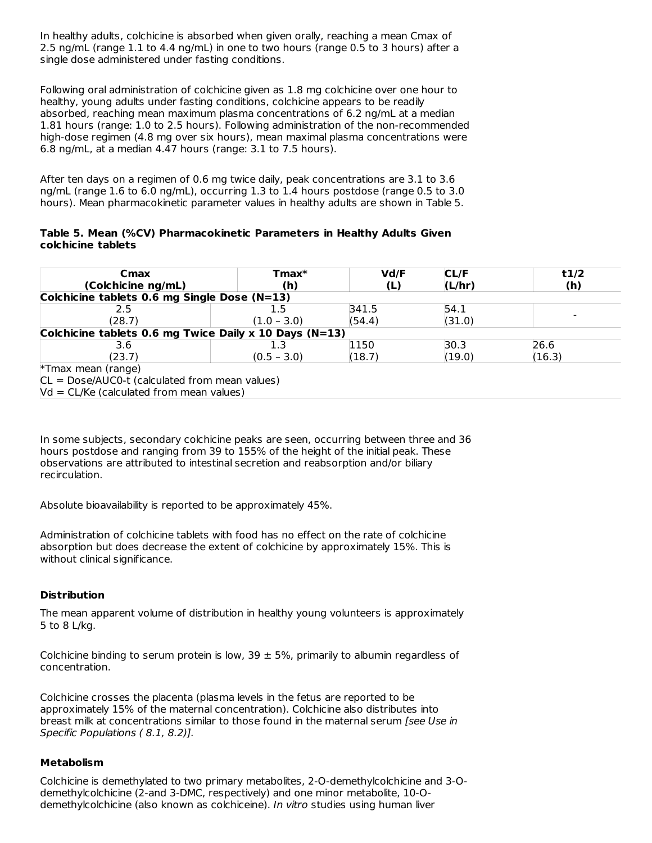In healthy adults, colchicine is absorbed when given orally, reaching a mean Cmax of 2.5 ng/mL (range 1.1 to 4.4 ng/mL) in one to two hours (range 0.5 to 3 hours) after a single dose administered under fasting conditions.

Following oral administration of colchicine given as 1.8 mg colchicine over one hour to healthy, young adults under fasting conditions, colchicine appears to be readily absorbed, reaching mean maximum plasma concentrations of 6.2 ng/mL at a median 1.81 hours (range: 1.0 to 2.5 hours). Following administration of the non-recommended high-dose regimen (4.8 mg over six hours), mean maximal plasma concentrations were 6.8 ng/mL, at a median 4.47 hours (range: 3.1 to 7.5 hours).

After ten days on a regimen of 0.6 mg twice daily, peak concentrations are 3.1 to 3.6 ng/mL (range 1.6 to 6.0 ng/mL), occurring 1.3 to 1.4 hours postdose (range 0.5 to 3.0 hours). Mean pharmacokinetic parameter values in healthy adults are shown in Table 5.

#### **Table 5. Mean (%CV) Pharmacokinetic Parameters in Healthy Adults Given colchicine tablets**

| Cmax                                                   | $T$ max $*$   | Vd/F   | CL/F   | t1/2   |  |  |
|--------------------------------------------------------|---------------|--------|--------|--------|--|--|
| (Colchicine ng/mL)                                     | (h)           | (L)    | (L/hr) | (h)    |  |  |
| Colchicine tablets 0.6 mg Single Dose (N=13)           |               |        |        |        |  |  |
| 2.5                                                    |               | 341.5  | 54.1   |        |  |  |
| (28.7)                                                 | $(1.0 - 3.0)$ | (54.4) | (31.0) |        |  |  |
| Colchicine tablets 0.6 mg Twice Daily x 10 Days (N=13) |               |        |        |        |  |  |
| 3.6                                                    |               | 1150   | 30.3   | 26.6   |  |  |
| (23.7)                                                 | $(0.5 - 3.0)$ | (18.7) | (19.0) | (16.3) |  |  |
| *Tmax mean (range)                                     |               |        |        |        |  |  |
| $CL = Doese/AUCO-t (calculated from mean values)$      |               |        |        |        |  |  |
| $Vd = CL/Ke$ (calculated from mean values)             |               |        |        |        |  |  |

In some subjects, secondary colchicine peaks are seen, occurring between three and 36 hours postdose and ranging from 39 to 155% of the height of the initial peak. These observations are attributed to intestinal secretion and reabsorption and/or biliary recirculation.

Absolute bioavailability is reported to be approximately 45%.

Administration of colchicine tablets with food has no effect on the rate of colchicine absorption but does decrease the extent of colchicine by approximately 15%. This is without clinical significance.

## **Distribution**

The mean apparent volume of distribution in healthy young volunteers is approximately 5 to 8 L/kg.

Colchicine binding to serum protein is low, 39  $\pm$  5%, primarily to albumin regardless of concentration.

Colchicine crosses the placenta (plasma levels in the fetus are reported to be approximately 15% of the maternal concentration). Colchicine also distributes into breast milk at concentrations similar to those found in the maternal serum [see Use in Specific Populations ( 8.1, 8.2)].

#### **Metabolism**

Colchicine is demethylated to two primary metabolites, 2-O-demethylcolchicine and 3-Odemethylcolchicine (2-and 3-DMC, respectively) and one minor metabolite, 10-Odemethylcolchicine (also known as colchiceine). In vitro studies using human liver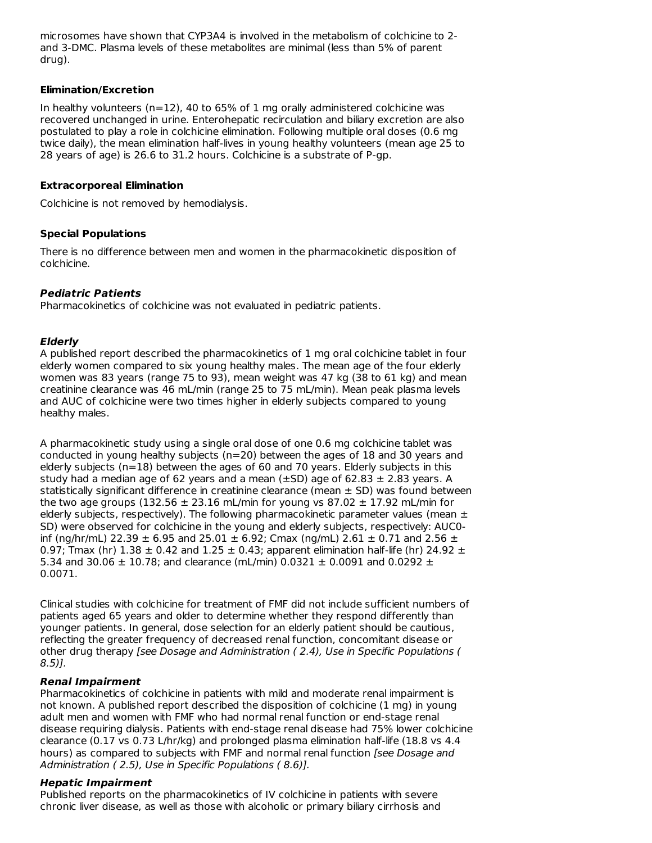microsomes have shown that CYP3A4 is involved in the metabolism of colchicine to 2 and 3-DMC. Plasma levels of these metabolites are minimal (less than 5% of parent drug).

#### **Elimination/Excretion**

In healthy volunteers  $(n=12)$ , 40 to 65% of 1 mg orally administered colchicine was recovered unchanged in urine. Enterohepatic recirculation and biliary excretion are also postulated to play a role in colchicine elimination. Following multiple oral doses (0.6 mg twice daily), the mean elimination half-lives in young healthy volunteers (mean age 25 to 28 years of age) is 26.6 to 31.2 hours. Colchicine is a substrate of P-gp.

### **Extracorporeal Elimination**

Colchicine is not removed by hemodialysis.

## **Special Populations**

There is no difference between men and women in the pharmacokinetic disposition of colchicine.

# **Pediatric Patients**

Pharmacokinetics of colchicine was not evaluated in pediatric patients.

## **Elderly**

A published report described the pharmacokinetics of 1 mg oral colchicine tablet in four elderly women compared to six young healthy males. The mean age of the four elderly women was 83 years (range 75 to 93), mean weight was 47 kg (38 to 61 kg) and mean creatinine clearance was 46 mL/min (range 25 to 75 mL/min). Mean peak plasma levels and AUC of colchicine were two times higher in elderly subjects compared to young healthy males.

A pharmacokinetic study using a single oral dose of one 0.6 mg colchicine tablet was conducted in young healthy subjects (n=20) between the ages of 18 and 30 years and elderly subjects (n=18) between the ages of 60 and 70 years. Elderly subjects in this study had a median age of 62 years and a mean  $(\pm SD)$  age of 62.83  $\pm$  2.83 years. A statistically significant difference in creatinine clearance (mean  $\pm$  SD) was found between the two age groups (132.56  $\pm$  23.16 mL/min for young vs 87.02  $\pm$  17.92 mL/min for elderly subjects, respectively). The following pharmacokinetic parameter values (mean  $\pm$ SD) were observed for colchicine in the young and elderly subjects, respectively: AUC0 inf (ng/hr/mL) 22.39  $\pm$  6.95 and 25.01  $\pm$  6.92; Cmax (ng/mL) 2.61  $\pm$  0.71 and 2.56  $\pm$ 0.97; Tmax (hr)  $1.38 \pm 0.42$  and  $1.25 \pm 0.43$ ; apparent elimination half-life (hr) 24.92  $\pm$ 5.34 and 30.06  $\pm$  10.78; and clearance (mL/min) 0.0321  $\pm$  0.0091 and 0.0292  $\pm$ 0.0071.

Clinical studies with colchicine for treatment of FMF did not include sufficient numbers of patients aged 65 years and older to determine whether they respond differently than younger patients. In general, dose selection for an elderly patient should be cautious, reflecting the greater frequency of decreased renal function, concomitant disease or other drug therapy [see Dosage and Administration ( 2.4), Use in Specific Populations (  $8.5$ )].

## **Renal Impairment**

Pharmacokinetics of colchicine in patients with mild and moderate renal impairment is not known. A published report described the disposition of colchicine (1 mg) in young adult men and women with FMF who had normal renal function or end-stage renal disease requiring dialysis. Patients with end-stage renal disease had 75% lower colchicine clearance (0.17 vs 0.73 L/hr/kg) and prolonged plasma elimination half-life (18.8 vs 4.4 hours) as compared to subjects with FMF and normal renal function [see Dosage and Administration ( 2.5), Use in Specific Populations ( 8.6)].

## **Hepatic Impairment**

Published reports on the pharmacokinetics of IV colchicine in patients with severe chronic liver disease, as well as those with alcoholic or primary biliary cirrhosis and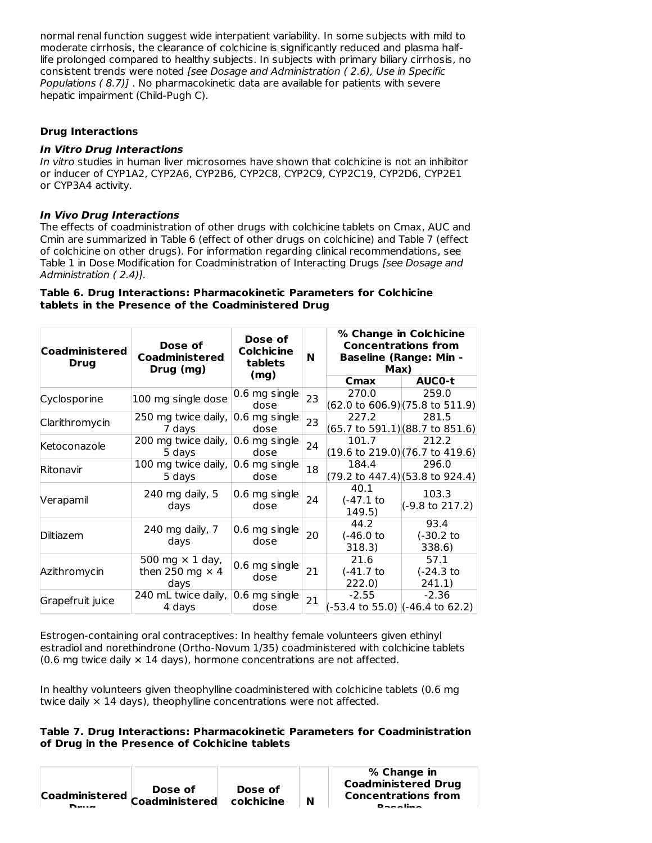normal renal function suggest wide interpatient variability. In some subjects with mild to moderate cirrhosis, the clearance of colchicine is significantly reduced and plasma halflife prolonged compared to healthy subjects. In subjects with primary biliary cirrhosis, no consistent trends were noted [see Dosage and Administration ( 2.6), Use in Specific Populations ( 8.7)] . No pharmacokinetic data are available for patients with severe hepatic impairment (Child-Pugh C).

### **Drug Interactions**

#### **In Vitro Drug Interactions**

In vitro studies in human liver microsomes have shown that colchicine is not an inhibitor or inducer of CYP1A2, CYP2A6, CYP2B6, CYP2C8, CYP2C9, CYP2C19, CYP2D6, CYP2E1 or CYP3A4 activity.

### **In Vivo Drug Interactions**

The effects of coadministration of other drugs with colchicine tablets on Cmax, AUC and Cmin are summarized in Table 6 (effect of other drugs on colchicine) and Table 7 (effect of colchicine on other drugs). For information regarding clinical recommendations, see Table 1 in Dose Modification for Coadministration of Interacting Drugs [see Dosage and Administration ( 2.4)].

#### **Table 6. Drug Interactions: Pharmacokinetic Parameters for Colchicine tablets in the Presence of the Coadministered Drug**

| Coadministered<br><b>Drug</b> | Dose of<br>Dose of<br>Colchicine<br>Coadministered<br>tablets<br>Drug (mg)<br>(mg) |                         | N  | % Change in Colchicine<br><b>Concentrations from</b><br><b>Baseline (Range: Min -</b><br>Max) |                                                             |  |
|-------------------------------|------------------------------------------------------------------------------------|-------------------------|----|-----------------------------------------------------------------------------------------------|-------------------------------------------------------------|--|
|                               |                                                                                    |                         |    | Cmax                                                                                          | AUC0-t                                                      |  |
| Cyclosporine                  | 100 mg single dose                                                                 | $0.6$ mg single<br>dose | 23 | 270.0                                                                                         | 259.0<br>$(62.0 \text{ to } 606.9)(75.8 \text{ to } 511.9)$ |  |
| Clarithromycin                | 250 mg twice daily,<br>7 days                                                      | 0.6 mg single<br>dose   | 23 | 227.2                                                                                         | 281.5<br>$(65.7 \text{ to } 591.1)(88.7 \text{ to } 851.6)$ |  |
| Ketoconazole                  | 200 mg twice daily,<br>5 days                                                      | 0.6 mg single<br>dose   | 24 | 101.7                                                                                         | 212.2<br>$(19.6 \text{ to } 219.0)(76.7 \text{ to } 419.6)$ |  |
| Ritonavir                     | 100 mg twice daily,<br>5 days                                                      | 0.6 mg single<br>dose   | 18 | 184.4                                                                                         | 296.0<br>(79.2 to 447.4)(53.8 to 924.4)                     |  |
| Verapamil                     | 240 mg daily, 5<br>days                                                            | 0.6 mg single<br>dose   | 24 | 40.1<br>(-47.1 to<br>149.5)                                                                   | 103.3<br>$(-9.8 \text{ to } 217.2)$                         |  |
| Diltiazem                     | 240 mg daily, 7<br>days                                                            | 0.6 mg single<br>dose   | 20 | 44.2<br>(-46.0 to<br>318.3)                                                                   | 93.4<br>(-30.2 to<br>338.6)                                 |  |
| Azithromycin                  | 500 mg $\times$ 1 day,<br>then 250 mg $\times$ 4<br>days                           | 0.6 mg single<br>dose   | 21 | 21.6<br>$(-41.7)$<br>222.0                                                                    | 57.1<br>(-24.3 to<br>241.1)                                 |  |
| Grapefruit juice              | 240 mL twice daily,<br>4 days                                                      | $0.6$ mg single<br>dose | 21 | $-2.55$                                                                                       | $-2.36$                                                     |  |

Estrogen-containing oral contraceptives: In healthy female volunteers given ethinyl estradiol and norethindrone (Ortho-Novum 1/35) coadministered with colchicine tablets (0.6 mg twice daily  $\times$  14 days), hormone concentrations are not affected.

In healthy volunteers given theophylline coadministered with colchicine tablets (0.6 mg twice daily  $\times$  14 days), theophylline concentrations were not affected.

#### **Table 7. Drug Interactions: Pharmacokinetic Parameters for Coadministration of Drug in the Presence of Colchicine tablets**

| Dose of    | <b>Coadministered Drug</b> |
|------------|----------------------------|
| colchicine | <b>Concentrations from</b> |
| <b>N</b>   | <b>Docolino</b>            |
|            |                            |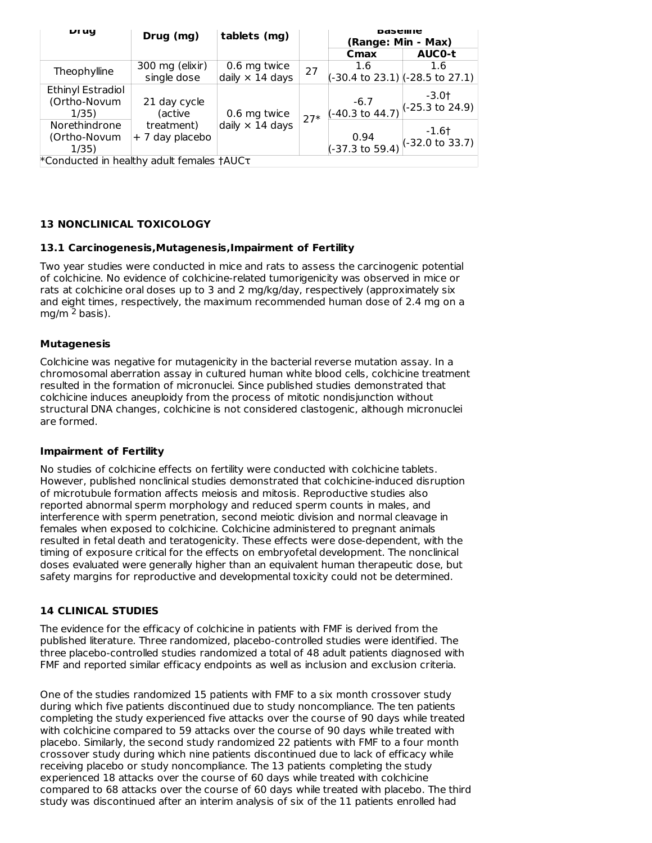| <b>DI UY</b>                              | Drug (mg)       | tablets (mg)           |       | Dasellile<br>(Range: Min - Max) |                            |  |
|-------------------------------------------|-----------------|------------------------|-------|---------------------------------|----------------------------|--|
|                                           |                 |                        |       | Cmax                            | <b>AUCO-t</b>              |  |
| Theophylline                              | 300 mg (elixir) | 0.6 mg twice           | 27    | 1.6                             | 1.6                        |  |
|                                           | single dose     | daily $\times$ 14 days |       | (-30.4 to 23.1) (-28.5 to 27.1) |                            |  |
| Ethinyl Estradiol                         |                 |                        |       |                                 | -3.0†                      |  |
| (Ortho-Novum                              | 21 day cycle    |                        |       | $-6.7$                          | $(-25.3 \text{ to } 24.9)$ |  |
| 1/35)                                     | (active         | 0.6 mg twice           | $27*$ | (-40.3 to 44.7)                 |                            |  |
| Norethindrone                             | treatment)      | daily $\times$ 14 days |       |                                 | $-1.6$ †                   |  |
| (Ortho-Novum                              | + 7 day placebo |                        |       | 0.94                            | $(-32.0 \text{ to } 33.7)$ |  |
| 1/35)                                     |                 |                        |       | (-37.3 to 59.4)                 |                            |  |
| *Conducted in healthy adult females †AUCT |                 |                        |       |                                 |                            |  |

## **13 NONCLINICAL TOXICOLOGY**

#### **13.1 Carcinogenesis,Mutagenesis,Impairment of Fertility**

Two year studies were conducted in mice and rats to assess the carcinogenic potential of colchicine. No evidence of colchicine-related tumorigenicity was observed in mice or rats at colchicine oral doses up to 3 and 2 mg/kg/day, respectively (approximately six and eight times, respectively, the maximum recommended human dose of 2.4 mg on a mg/m <sup>2</sup> basis).

#### **Mutagenesis**

Colchicine was negative for mutagenicity in the bacterial reverse mutation assay. In a chromosomal aberration assay in cultured human white blood cells, colchicine treatment resulted in the formation of micronuclei. Since published studies demonstrated that colchicine induces aneuploidy from the process of mitotic nondisjunction without structural DNA changes, colchicine is not considered clastogenic, although micronuclei are formed.

#### **Impairment of Fertility**

No studies of colchicine effects on fertility were conducted with colchicine tablets. However, published nonclinical studies demonstrated that colchicine-induced disruption of microtubule formation affects meiosis and mitosis. Reproductive studies also reported abnormal sperm morphology and reduced sperm counts in males, and interference with sperm penetration, second meiotic division and normal cleavage in females when exposed to colchicine. Colchicine administered to pregnant animals resulted in fetal death and teratogenicity. These effects were dose-dependent, with the timing of exposure critical for the effects on embryofetal development. The nonclinical doses evaluated were generally higher than an equivalent human therapeutic dose, but safety margins for reproductive and developmental toxicity could not be determined.

#### **14 CLINICAL STUDIES**

The evidence for the efficacy of colchicine in patients with FMF is derived from the published literature. Three randomized, placebo-controlled studies were identified. The three placebo-controlled studies randomized a total of 48 adult patients diagnosed with FMF and reported similar efficacy endpoints as well as inclusion and exclusion criteria.

One of the studies randomized 15 patients with FMF to a six month crossover study during which five patients discontinued due to study noncompliance. The ten patients completing the study experienced five attacks over the course of 90 days while treated with colchicine compared to 59 attacks over the course of 90 days while treated with placebo. Similarly, the second study randomized 22 patients with FMF to a four month crossover study during which nine patients discontinued due to lack of efficacy while receiving placebo or study noncompliance. The 13 patients completing the study experienced 18 attacks over the course of 60 days while treated with colchicine compared to 68 attacks over the course of 60 days while treated with placebo. The third study was discontinued after an interim analysis of six of the 11 patients enrolled had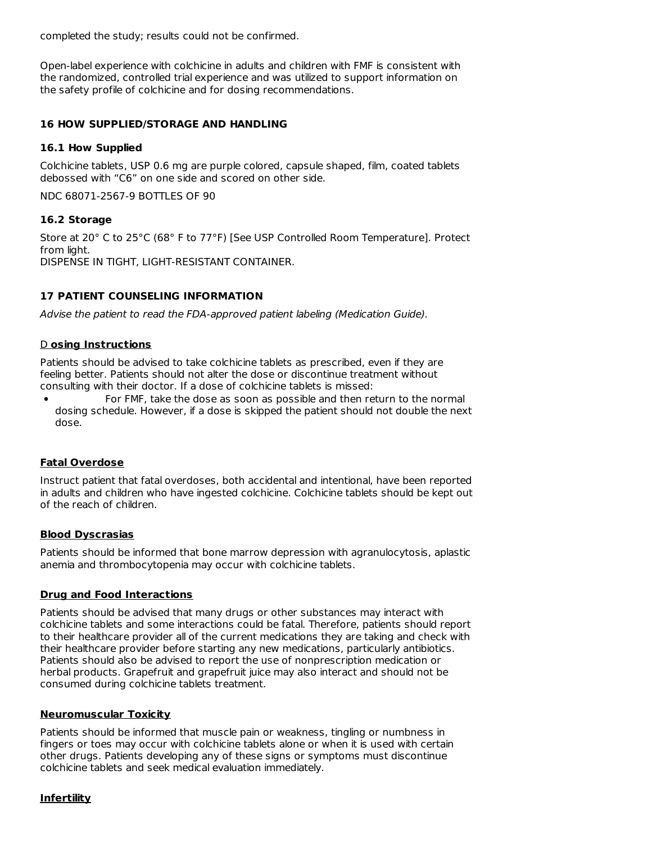completed the study; results could not be confirmed.

Open-label experience with colchicine in adults and children with FMF is consistent with the randomized, controlled trial experience and was utilized to support information on the safety profile of colchicine and for dosing recommendations.

#### **16 HOW SUPPLIED/STORAGE AND HANDLING**

#### **16.1 How Supplied**

Colchicine tablets, USP 0.6 mg are purple colored, capsule shaped, film, coated tablets debossed with "C6" on one side and scored on other side.

NDC 68071-2567-9 BOTTLES OF 90

### **16.2 Storage**

Store at 20° C to 25°C (68° F to 77°F) [See USP Controlled Room Temperature]. Protect from light. DISPENSE IN TIGHT, LIGHT-RESISTANT CONTAINER.

### **17 PATIENT COUNSELING INFORMATION**

Advise the patient to read the FDA-approved patient labeling (Medication Guide).

### D **osing Instructions**

Patients should be advised to take colchicine tablets as prescribed, even if they are feeling better. Patients should not alter the dose or discontinue treatment without consulting with their doctor. If a dose of colchicine tablets is missed:

For FMF, take the dose as soon as possible and then return to the normal dosing schedule. However, if a dose is skipped the patient should not double the next dose.

#### **Fatal Overdose**

Instruct patient that fatal overdoses, both accidental and intentional, have been reported in adults and children who have ingested colchicine. Colchicine tablets should be kept out of the reach of children.

#### **Blood Dyscrasias**

Patients should be informed that bone marrow depression with agranulocytosis, aplastic anemia and thrombocytopenia may occur with colchicine tablets.

#### **Drug and Food Interactions**

Patients should be advised that many drugs or other substances may interact with colchicine tablets and some interactions could be fatal. Therefore, patients should report to their healthcare provider all of the current medications they are taking and check with their healthcare provider before starting any new medications, particularly antibiotics. Patients should also be advised to report the use of nonprescription medication or herbal products. Grapefruit and grapefruit juice may also interact and should not be consumed during colchicine tablets treatment.

#### **Neuromuscular Toxicity**

Patients should be informed that muscle pain or weakness, tingling or numbness in fingers or toes may occur with colchicine tablets alone or when it is used with certain other drugs. Patients developing any of these signs or symptoms must discontinue colchicine tablets and seek medical evaluation immediately.

#### **Infertility**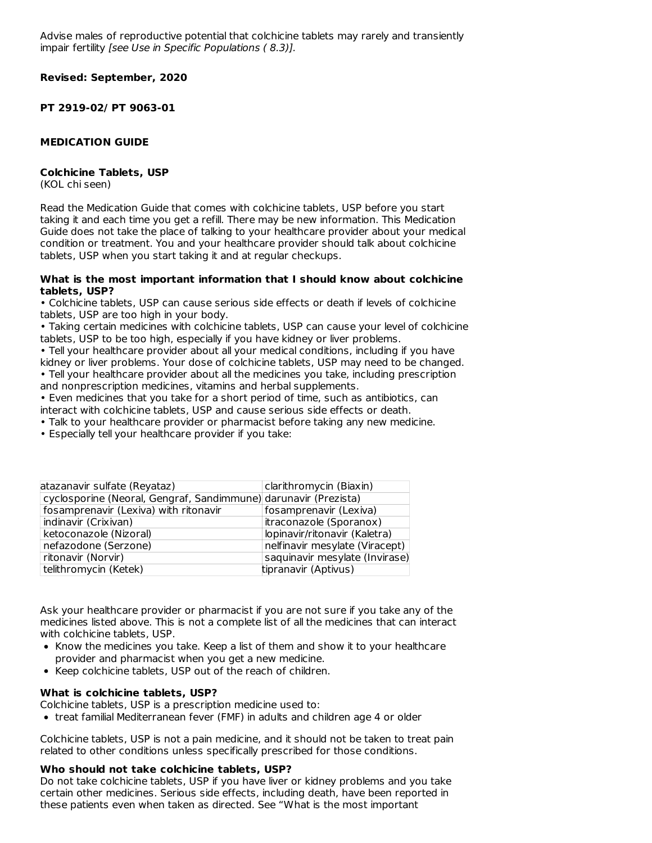Advise males of reproductive potential that colchicine tablets may rarely and transiently impair fertility [see Use in Specific Populations ( 8.3)].

**Revised: September, 2020**

**PT 2919-02/ PT 9063-01**

#### **MEDICATION GUIDE**

#### **Colchicine Tablets, USP**

(KOL chi seen)

Read the Medication Guide that comes with colchicine tablets, USP before you start taking it and each time you get a refill. There may be new information. This Medication Guide does not take the place of talking to your healthcare provider about your medical condition or treatment. You and your healthcare provider should talk about colchicine tablets, USP when you start taking it and at regular checkups.

#### **What is the most important information that I should know about colchicine tablets, USP?**

• Colchicine tablets, USP can cause serious side effects or death if levels of colchicine tablets, USP are too high in your body.

• Taking certain medicines with colchicine tablets, USP can cause your level of colchicine tablets, USP to be too high, especially if you have kidney or liver problems.

• Tell your healthcare provider about all your medical conditions, including if you have kidney or liver problems. Your dose of colchicine tablets, USP may need to be changed. • Tell your healthcare provider about all the medicines you take, including prescription

and nonprescription medicines, vitamins and herbal supplements.

• Even medicines that you take for a short period of time, such as antibiotics, can interact with colchicine tablets, USP and cause serious side effects or death.

- Talk to your healthcare provider or pharmacist before taking any new medicine.
- Especially tell your healthcare provider if you take:

| atazanavir sulfate (Reyataz)                                    | clarithromycin (Biaxin)        |
|-----------------------------------------------------------------|--------------------------------|
| cyclosporine (Neoral, Gengraf, Sandimmune) darunavir (Prezista) |                                |
| fosamprenavir (Lexiva) with ritonavir                           | fosamprenavir (Lexiva)         |
| indinavir (Crixivan)                                            | itraconazole (Sporanox)        |
| ketoconazole (Nizoral)                                          | lopinavir/ritonavir (Kaletra)  |
| nefazodone (Serzone)                                            | nelfinavir mesylate (Viracept) |
| ritonavir (Norvir)                                              | saquinavir mesylate (Invirase) |
| telithromycin (Ketek)                                           | tipranavir (Aptivus)           |

Ask your healthcare provider or pharmacist if you are not sure if you take any of the medicines listed above. This is not a complete list of all the medicines that can interact with colchicine tablets, USP.

- Know the medicines you take. Keep a list of them and show it to your healthcare provider and pharmacist when you get a new medicine.
- Keep colchicine tablets, USP out of the reach of children.

#### **What is colchicine tablets, USP?**

Colchicine tablets, USP is a prescription medicine used to:

• treat familial Mediterranean fever (FMF) in adults and children age 4 or older

Colchicine tablets, USP is not a pain medicine, and it should not be taken to treat pain related to other conditions unless specifically prescribed for those conditions.

#### **Who should not take colchicine tablets, USP?**

Do not take colchicine tablets, USP if you have liver or kidney problems and you take certain other medicines. Serious side effects, including death, have been reported in these patients even when taken as directed. See "What is the most important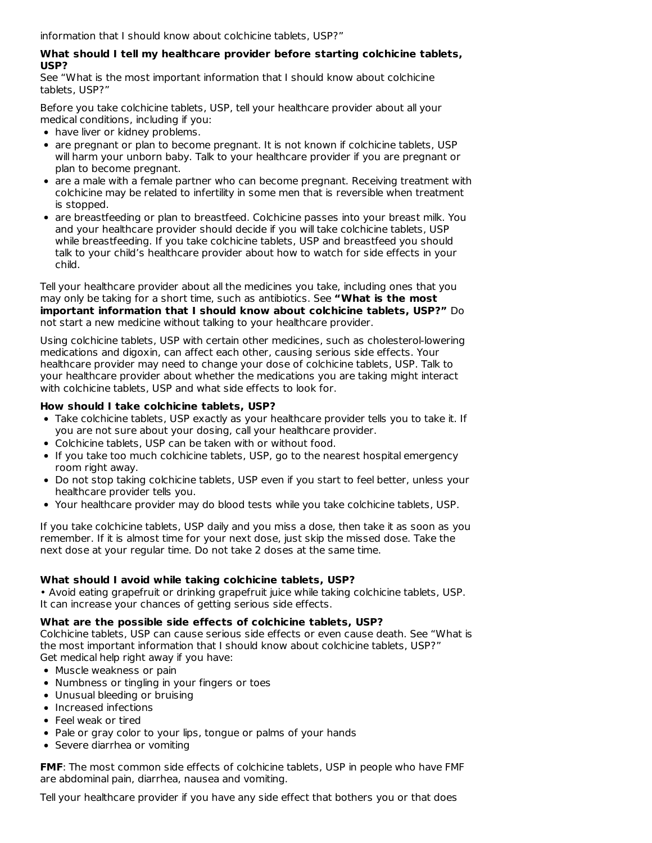information that I should know about colchicine tablets, USP?"

### **What should I tell my healthcare provider before starting colchicine tablets, USP?**

See "What is the most important information that I should know about colchicine tablets, USP?"

Before you take colchicine tablets, USP, tell your healthcare provider about all your medical conditions, including if you:

- have liver or kidney problems.
- are pregnant or plan to become pregnant. It is not known if colchicine tablets, USP will harm your unborn baby. Talk to your healthcare provider if you are pregnant or plan to become pregnant.
- are a male with a female partner who can become pregnant. Receiving treatment with colchicine may be related to infertility in some men that is reversible when treatment is stopped.
- are breastfeeding or plan to breastfeed. Colchicine passes into your breast milk. You and your healthcare provider should decide if you will take colchicine tablets, USP while breastfeeding. If you take colchicine tablets, USP and breastfeed you should talk to your child's healthcare provider about how to watch for side effects in your child.

Tell your healthcare provider about all the medicines you take, including ones that you may only be taking for a short time, such as antibiotics. See **"What is the most important information that I should know about colchicine tablets, USP?"** Do not start a new medicine without talking to your healthcare provider.

Using colchicine tablets, USP with certain other medicines, such as cholesterol-lowering medications and digoxin, can affect each other, causing serious side effects. Your healthcare provider may need to change your dose of colchicine tablets, USP. Talk to your healthcare provider about whether the medications you are taking might interact with colchicine tablets, USP and what side effects to look for.

## **How should I take colchicine tablets, USP?**

- Take colchicine tablets, USP exactly as your healthcare provider tells you to take it. If you are not sure about your dosing, call your healthcare provider.
- Colchicine tablets, USP can be taken with or without food.
- If you take too much colchicine tablets, USP, go to the nearest hospital emergency room right away.
- Do not stop taking colchicine tablets, USP even if you start to feel better, unless your healthcare provider tells you.
- Your healthcare provider may do blood tests while you take colchicine tablets, USP.

If you take colchicine tablets, USP daily and you miss a dose, then take it as soon as you remember. If it is almost time for your next dose, just skip the missed dose. Take the next dose at your regular time. Do not take 2 doses at the same time.

## **What should I avoid while taking colchicine tablets, USP?**

• Avoid eating grapefruit or drinking grapefruit juice while taking colchicine tablets, USP. It can increase your chances of getting serious side effects.

## **What are the possible side effects of colchicine tablets, USP?**

Colchicine tablets, USP can cause serious side effects or even cause death. See "What is the most important information that I should know about colchicine tablets, USP?" Get medical help right away if you have:

- Muscle weakness or pain
- Numbness or tingling in your fingers or toes
- Unusual bleeding or bruising
- Increased infections
- Feel weak or tired
- Pale or gray color to your lips, tongue or palms of your hands
- Severe diarrhea or vomiting

**FMF**: The most common side effects of colchicine tablets, USP in people who have FMF are abdominal pain, diarrhea, nausea and vomiting.

Tell your healthcare provider if you have any side effect that bothers you or that does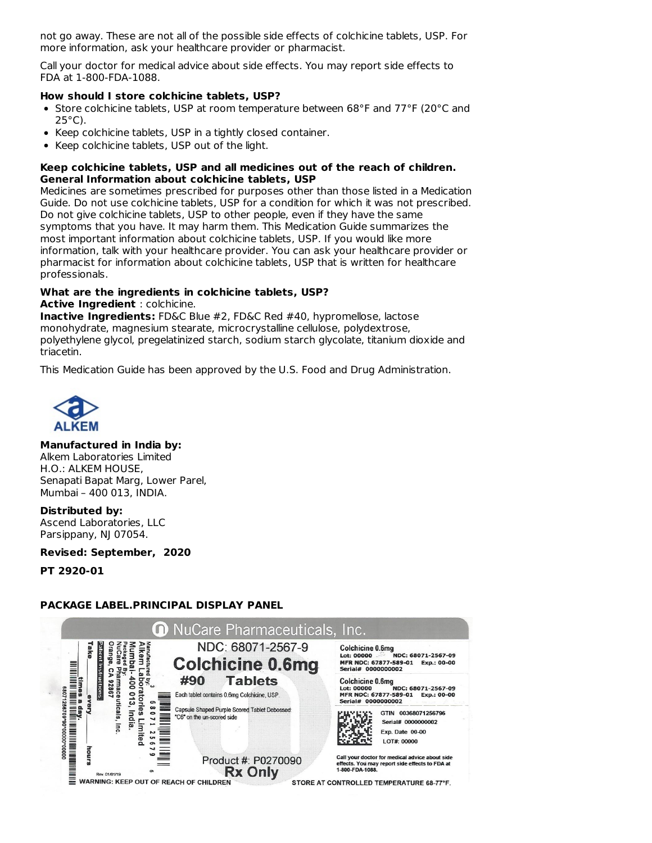not go away. These are not all of the possible side effects of colchicine tablets, USP. For more information, ask your healthcare provider or pharmacist.

Call your doctor for medical advice about side effects. You may report side effects to FDA at 1-800-FDA-1088.

#### **How should I store colchicine tablets, USP?**

- Store colchicine tablets, USP at room temperature between 68°F and 77°F (20°C and 25°C).
- Keep colchicine tablets, USP in a tightly closed container.
- Keep colchicine tablets, USP out of the light.

### **Keep colchicine tablets, USP and all medicines out of the reach of children. General Information about colchicine tablets, USP**

Medicines are sometimes prescribed for purposes other than those listed in a Medication Guide. Do not use colchicine tablets, USP for a condition for which it was not prescribed. Do not give colchicine tablets, USP to other people, even if they have the same symptoms that you have. It may harm them. This Medication Guide summarizes the most important information about colchicine tablets, USP. If you would like more information, talk with your healthcare provider. You can ask your healthcare provider or pharmacist for information about colchicine tablets, USP that is written for healthcare professionals.

# **What are the ingredients in colchicine tablets, USP?**

**Active Ingredient** : colchicine.

**Inactive Ingredients:** FD&C Blue #2, FD&C Red #40, hypromellose, lactose monohydrate, magnesium stearate, microcrystalline cellulose, polydextrose, polyethylene glycol, pregelatinized starch, sodium starch glycolate, titanium dioxide and triacetin.

This Medication Guide has been approved by the U.S. Food and Drug Administration.



## **Manufactured in India by:**

Alkem Laboratories Limited H.O.: ALKEM HOUSE, Senapati Bapat Marg, Lower Parel, Mumbai – 400 013, INDIA.

#### **Distributed by:**

Ascend Laboratories, LLC Parsippany, NJ 07054.

**Revised: September, 2020**

**PT 2920-01**

## **PACKAGE LABEL.PRINCIPAL DISPLAY PANEL**